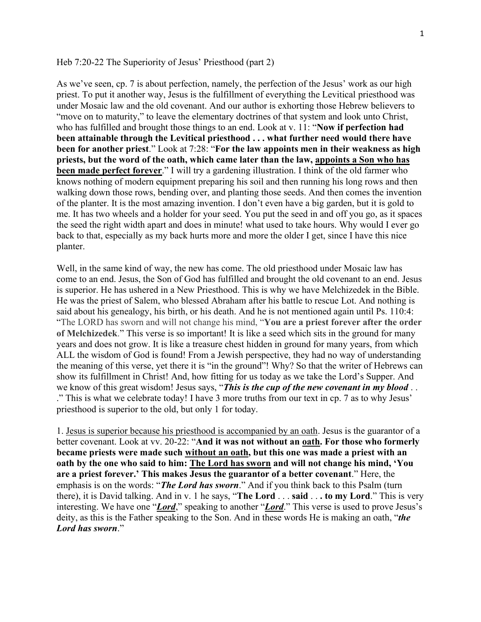## Heb  $7:20-22$  The Superiority of Jesus' Priesthood (part 2)

As we've seen, cp. 7 is about perfection, namely, the perfection of the Jesus' work as our high priest. To put it another way, Jesus is the fulfillment of everything the Levitical priesthood was under Mosaic law and the old covenant. And our author is exhorting those Hebrew believers to "move on to maturity," to leave the elementary doctrines of that system and look unto Christ, who has fulfilled and brought those things to an end. Look at v. 11: "Now if perfection had **been attainable through the Levitical priesthood . . . what further need would there have been for another priest.**" Look at 7:28: "For the law appoints men in their weakness as high **priests, but the word of the oath, which came later than the law, appoints a Son who has been made perfect forever**." I will try a gardening illustration. I think of the old farmer who knows nothing of modern equipment preparing his soil and then running his long rows and then walking down those rows, bending over, and planting those seeds. And then comes the invention of the planter. It is the most amazing invention. I don't even have a big garden, but it is gold to me. It has two wheels and a holder for your seed. You put the seed in and off you go, as it spaces the seed the right width apart and does in minute! what used to take hours. Why would I ever go back to that, especially as my back hurts more and more the older I get, since I have this nice planter.

Well, in the same kind of way, the new has come. The old priesthood under Mosaic law has come to an end. Jesus, the Son of God has fulfilled and brought the old covenant to an end. Jesus is superior. He has ushered in a New Priesthood. This is why we have Melchizedek in the Bible. He was the priest of Salem, who blessed Abraham after his battle to rescue Lot. And nothing is said about his genealogy, his birth, or his death. And he is not mentioned again until Ps. 110:4: "The LORD has sworn and will not change his mind, "You are a priest forever after the order **of Melchizedek**.´This verse is so important! It is like a seed which sits in the ground for many years and does not grow. It is like a treasure chest hidden in ground for many years, from which ALL the wisdom of God is found! From a Jewish perspective, they had no way of understanding the meaning of this verse, yet there it is "in the ground"! Why? So that the writer of Hebrews can show its fulfillment in Christ! And, how fitting for us today as we take the Lord's Supper. And we know of this great wisdom! Jesus says, "This is the *cup of the new covenant in my blood* . . ." This is what we celebrate today! I have 3 more truths from our text in cp. 7 as to why Jesus' priesthood is superior to the old, but only 1 for today.

1. Jesus is superior because his priesthood is accompanied by an oath. Jesus is the guarantor of a better covenant. Look at vv. 20-22: "And it was not without an oath. For those who formerly **became priests were made such without an oath, but this one was made a priest with an**  oath by the one who said to him: The Lord has sworn and will not change his mind, 'You are a priest forever.' This makes Jesus the guarantor of a better covenant." Here, the emphasis is on the words: "*The Lord has sworn*." And if you think back to this Psalm (turn there), it is David talking. And in v. 1 he says, "**The Lord** . . . **said** . . . **to my Lord**." This is very interesting. We have one "*Lord*," speaking to another "*Lord*." This verse is used to prove Jesus's deity, as this is the Father speaking to the Son. And in these words He is making an oath, "the Lord has sworn."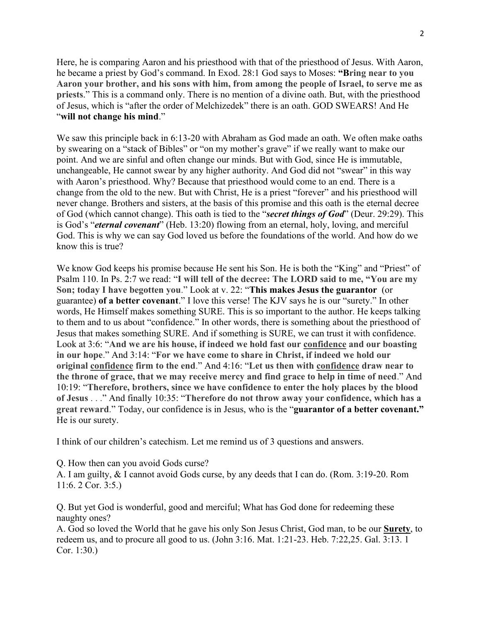Here, he is comparing Aaron and his priesthood with that of the priesthood of Jesus. With Aaron, he became a priest by God's command. In Exod. 28:1 God says to Moses: "Bring near to you **Aaron your brother, and his sons with him, from among the people of Israel, to serve me as priests**." This is a command only. There is no mention of a divine oath. But, with the priesthood of Jesus, which is "after the order of Melchizedek" there is an oath. GOD SWEARS! And He "will not change his mind."

We saw this principle back in 6:13-20 with Abraham as God made an oath. We often make oaths by swearing on a "stack of Bibles" or "on my mother's grave" if we really want to make our point. And we are sinful and often change our minds. But with God, since He is immutable, unchangeable, He cannot swear by any higher authority. And God did not "swear" in this way with Aaron's priesthood. Why? Because that priesthood would come to an end. There is a change from the old to the new. But with Christ, He is a priest "forever" and his priesthood will never change. Brothers and sisters, at the basis of this promise and this oath is the eternal decree of God (which cannot change). This oath is tied to the "secret things of God" (Deur. 29:29). This is God's "*eternal covenant*" (Heb. 13:20) flowing from an eternal, holy, loving, and merciful God. This is why we can say God loved us before the foundations of the world. And how do we know this is true?

We know God keeps his promise because He sent his Son. He is both the "King" and "Priest" of Psalm 110. In Ps. 2:7 we read: "I will tell of the decree: The LORD said to me, "You are my **Son; today I have begotten you.**" Look at v. 22: "This makes Jesus the guarantor (or guarantee) of a better covenant." I love this verse! The KJV says he is our "surety." In other words, He Himself makes something SURE. This is so important to the author. He keeps talking to them and to us about "confidence." In other words, there is something about the priesthood of Jesus that makes something SURE. And if something is SURE, we can trust it with confidence. Look at 3:6: "And we are his house, if indeed we hold fast our confidence and our boasting in our hope." And 3:14: "For we have come to share in Christ, if indeed we hold our **original confidence firm to the end.**" And 4:16: "Let us then with confidence draw near to the throne of grace, that we may receive mercy and find grace to help in time of need.<sup>"</sup> And ³**Therefore, brothers, since we have confidence to enter the holy places by the blood of Jesus** . . . " And finally 10:35: "Therefore do not throw away your confidence, which has a **great reward.**" Today, our confidence is in Jesus, who is the "**guarantor of a better covenant.**" He is our surety.

I think of our children's catechism. Let me remind us of 3 questions and answers.

Q. How then can you avoid Gods curse?

A. I am guilty, & I cannot avoid Gods curse, by any deeds that I can do. (Rom. 3:19-20. Rom 11:6. 2 Cor. 3:5.)

Q. But yet God is wonderful, good and merciful; What has God done for redeeming these naughty ones?

A. God so loved the World that he gave his only Son Jesus Christ, God man, to be our **Surety**, to redeem us, and to procure all good to us. (John 3:16. Mat. 1:21-23. Heb. 7:22,25. Gal. 3:13. 1 Cor. 1:30.)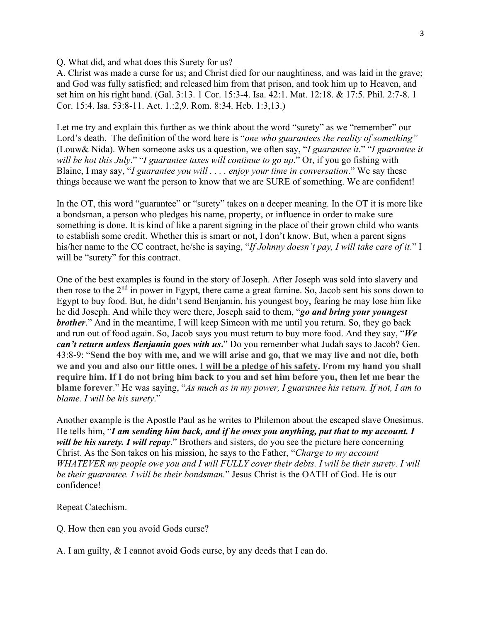Q. What did, and what does this Surety for us?

A. Christ was made a curse for us; and Christ died for our naughtiness, and was laid in the grave; and God was fully satisfied; and released him from that prison, and took him up to Heaven, and set him on his right hand. (Gal. 3:13. 1 Cor. 15:3-4. Isa. 42:1. Mat. 12:18. & 17:5. Phil. 2:7-8. 1 Cor. 15:4. Isa. 53:8-11. Act. 1.:2,9. Rom. 8:34. Heb. 1:3,13.)

Let me try and explain this further as we think about the word "surety" as we "remember" our Lord's death. The definition of the word here is "one who guarantees the reality of something" (Louw& Nida). When someone asks us a question, we often say, "*I guarantee it*." "*I guarantee it will be hot this July*." "*I guarantee taxes will continue to go up*." Or, if you go fishing with Blaine, I may say, "*I guarantee you will . . . . enjoy your time in conversation*." We say these things because we want the person to know that we are SURE of something. We are confident!

In the OT, this word "guarantee" or "surety" takes on a deeper meaning. In the OT it is more like a bondsman, a person who pledges his name, property, or influence in order to make sure something is done. It is kind of like a parent signing in the place of their grown child who wants to establish some credit. Whether this is smart or not, I don't know. But, when a parent signs his/her name to the CC contract, he/she is saying, "If Johnny doesn't pay, I will take care of it." I will be "surety" for this contract.

One of the best examples is found in the story of Joseph. After Joseph was sold into slavery and then rose to the 2<sup>nd</sup> in power in Egypt, there came a great famine. So, Jacob sent his sons down to Egypt to buy food. But, he didn't send Benjamin, his youngest boy, fearing he may lose him like he did Joseph. And while they were there, Joseph said to them, "go and bring your youngest *brother*." And in the meantime, I will keep Simeon with me until you return. So, they go back and run out of food again. So, Jacob says you must return to buy more food. And they say, " $We$ *can't return unless Benjamin goes with us.*" Do you remember what Judah says to Jacob? Gen. 43:8-³**Send the boy with me, and we will arise and go, that we may live and not die, both we and you and also our little ones. I will be a pledge of his safety. From my hand you shall require him. If I do not bring him back to you and set him before you, then let me bear the blame forever.**" He was saying, "As much as in my power, I guarantee his return. If not, I am to *blame. I will be his surety.*"

Another example is the Apostle Paul as he writes to Philemon about the escaped slave Onesimus. He tells him, "I am sending him back, and if he owes you anything, put that to my account. I *will be his surety. I will repay*." Brothers and sisters, do you see the picture here concerning Christ. As the Son takes on his mission, he says to the Father, "Charge to my account *WHATEVER my people owe you and I will FULLY cover their debts. I will be their surety. I will be their guarantee. I will be their bondsman.*'' Jesus Christ is the OATH of God. He is our confidence!

Repeat Catechism.

- Q. How then can you avoid Gods curse?
- A. I am guilty, & I cannot avoid Gods curse, by any deeds that I can do.